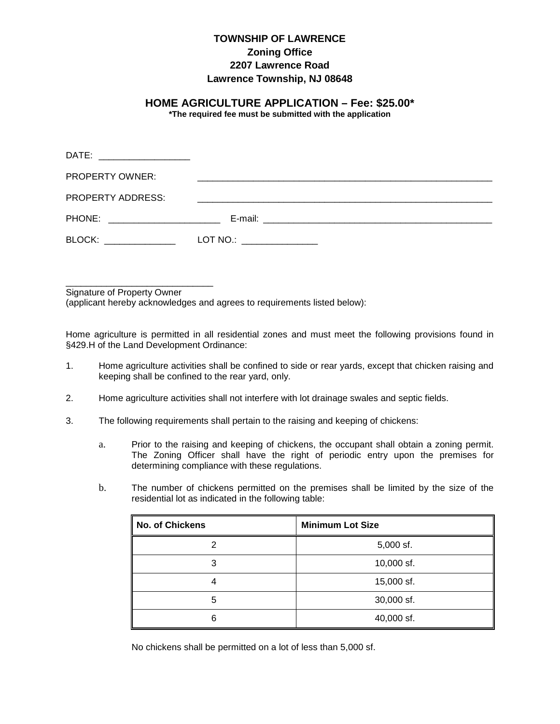## **TOWNSHIP OF LAWRENCE Zoning Office 2207 Lawrence Road Lawrence Township, NJ 08648**

## **HOME AGRICULTURE APPLICATION – Fee: \$25.00\***

**\*The required fee must be submitted with the application**

| DATE: ___________________       |                                                  |  |
|---------------------------------|--------------------------------------------------|--|
| PROPERTY OWNER:                 |                                                  |  |
| PROPERTY ADDRESS:               |                                                  |  |
| PHONE: ________________________ |                                                  |  |
| BLOCK: ______________           | $LOT NO.: \begin{array}{ccc} \hline \end{array}$ |  |
|                                 |                                                  |  |

\_\_\_\_\_\_\_\_\_\_\_\_\_\_\_\_\_\_\_\_\_\_\_\_\_\_\_\_\_ Signature of Property Owner

(applicant hereby acknowledges and agrees to requirements listed below):

Home agriculture is permitted in all residential zones and must meet the following provisions found in §429.H of the Land Development Ordinance:

- 1. Home agriculture activities shall be confined to side or rear yards, except that chicken raising and keeping shall be confined to the rear yard, only.
- 2. Home agriculture activities shall not interfere with lot drainage swales and septic fields.
- 3. The following requirements shall pertain to the raising and keeping of chickens:
	- a. Prior to the raising and keeping of chickens, the occupant shall obtain a zoning permit. The Zoning Officer shall have the right of periodic entry upon the premises for determining compliance with these regulations.
	- b. The number of chickens permitted on the premises shall be limited by the size of the residential lot as indicated in the following table:

| <b>No. of Chickens</b> | <b>Minimum Lot Size</b> |
|------------------------|-------------------------|
|                        | $5,000$ sf.             |
| ຈ                      | 10,000 sf.              |
|                        | 15,000 sf.              |
| 5                      | 30,000 sf.              |
|                        | 40,000 sf.              |

No chickens shall be permitted on a lot of less than 5,000 sf.